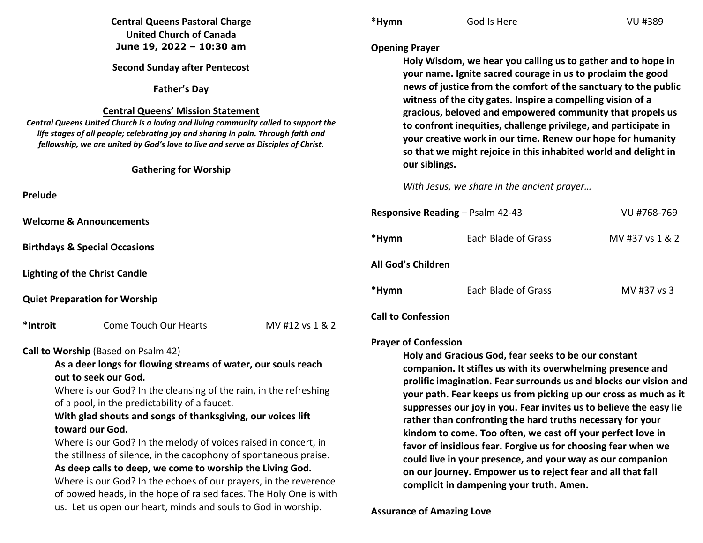|                                                                                                                                                                                                                                                                                                                                                                                                                                                                                                                                                                                                                                                                                                              | <b>Central Queens Pastoral Charge</b><br><b>United Church of Canada</b>                                                                                                                                                                                                                                                                   |                                  | *Hymn                     | God Is Here                                                                                                                                                                                                                                                                                                                                                                                                                                                                                                                                                                                                                                                                                               | <b>VU #389</b>  |  |
|--------------------------------------------------------------------------------------------------------------------------------------------------------------------------------------------------------------------------------------------------------------------------------------------------------------------------------------------------------------------------------------------------------------------------------------------------------------------------------------------------------------------------------------------------------------------------------------------------------------------------------------------------------------------------------------------------------------|-------------------------------------------------------------------------------------------------------------------------------------------------------------------------------------------------------------------------------------------------------------------------------------------------------------------------------------------|----------------------------------|---------------------------|-----------------------------------------------------------------------------------------------------------------------------------------------------------------------------------------------------------------------------------------------------------------------------------------------------------------------------------------------------------------------------------------------------------------------------------------------------------------------------------------------------------------------------------------------------------------------------------------------------------------------------------------------------------------------------------------------------------|-----------------|--|
|                                                                                                                                                                                                                                                                                                                                                                                                                                                                                                                                                                                                                                                                                                              | June 19, 2022 - 10:30 am                                                                                                                                                                                                                                                                                                                  |                                  | <b>Opening Prayer</b>     |                                                                                                                                                                                                                                                                                                                                                                                                                                                                                                                                                                                                                                                                                                           |                 |  |
|                                                                                                                                                                                                                                                                                                                                                                                                                                                                                                                                                                                                                                                                                                              | <b>Second Sunday after Pentecost</b>                                                                                                                                                                                                                                                                                                      |                                  |                           | Holy Wisdom, we hear you calling us to gather and to hope in<br>your name. Ignite sacred courage in us to proclaim the good                                                                                                                                                                                                                                                                                                                                                                                                                                                                                                                                                                               |                 |  |
|                                                                                                                                                                                                                                                                                                                                                                                                                                                                                                                                                                                                                                                                                                              | <b>Father's Day</b>                                                                                                                                                                                                                                                                                                                       |                                  |                           | news of justice from the comfort of the sanctuary to the public                                                                                                                                                                                                                                                                                                                                                                                                                                                                                                                                                                                                                                           |                 |  |
|                                                                                                                                                                                                                                                                                                                                                                                                                                                                                                                                                                                                                                                                                                              | <b>Central Queens' Mission Statement</b><br>Central Queens United Church is a loving and living community called to support the<br>life stages of all people; celebrating joy and sharing in pain. Through faith and<br>fellowship, we are united by God's love to live and serve as Disciples of Christ.<br><b>Gathering for Worship</b> |                                  |                           | witness of the city gates. Inspire a compelling vision of a<br>gracious, beloved and empowered community that propels us<br>to confront inequities, challenge privilege, and participate in<br>your creative work in our time. Renew our hope for humanity<br>so that we might rejoice in this inhabited world and delight in<br>our siblings.                                                                                                                                                                                                                                                                                                                                                            |                 |  |
|                                                                                                                                                                                                                                                                                                                                                                                                                                                                                                                                                                                                                                                                                                              |                                                                                                                                                                                                                                                                                                                                           |                                  |                           | With Jesus, we share in the ancient prayer                                                                                                                                                                                                                                                                                                                                                                                                                                                                                                                                                                                                                                                                |                 |  |
| <b>Prelude</b>                                                                                                                                                                                                                                                                                                                                                                                                                                                                                                                                                                                                                                                                                               |                                                                                                                                                                                                                                                                                                                                           |                                  |                           |                                                                                                                                                                                                                                                                                                                                                                                                                                                                                                                                                                                                                                                                                                           |                 |  |
| <b>Welcome &amp; Announcements</b>                                                                                                                                                                                                                                                                                                                                                                                                                                                                                                                                                                                                                                                                           |                                                                                                                                                                                                                                                                                                                                           | Responsive Reading - Psalm 42-43 |                           | VU #768-769                                                                                                                                                                                                                                                                                                                                                                                                                                                                                                                                                                                                                                                                                               |                 |  |
|                                                                                                                                                                                                                                                                                                                                                                                                                                                                                                                                                                                                                                                                                                              | <b>Birthdays &amp; Special Occasions</b>                                                                                                                                                                                                                                                                                                  |                                  | *Hymn                     | Each Blade of Grass                                                                                                                                                                                                                                                                                                                                                                                                                                                                                                                                                                                                                                                                                       | MV #37 vs 1 & 2 |  |
| <b>Lighting of the Christ Candle</b>                                                                                                                                                                                                                                                                                                                                                                                                                                                                                                                                                                                                                                                                         |                                                                                                                                                                                                                                                                                                                                           |                                  | All God's Children        |                                                                                                                                                                                                                                                                                                                                                                                                                                                                                                                                                                                                                                                                                                           |                 |  |
| <b>Quiet Preparation for Worship</b>                                                                                                                                                                                                                                                                                                                                                                                                                                                                                                                                                                                                                                                                         |                                                                                                                                                                                                                                                                                                                                           |                                  | *Hymn                     | Each Blade of Grass                                                                                                                                                                                                                                                                                                                                                                                                                                                                                                                                                                                                                                                                                       | MV #37 vs 3     |  |
| *Introit                                                                                                                                                                                                                                                                                                                                                                                                                                                                                                                                                                                                                                                                                                     | <b>Come Touch Our Hearts</b>                                                                                                                                                                                                                                                                                                              | MV #12 vs 1 & 2                  | <b>Call to Confession</b> |                                                                                                                                                                                                                                                                                                                                                                                                                                                                                                                                                                                                                                                                                                           |                 |  |
| <b>Prayer of Confession</b><br>Call to Worship (Based on Psalm 42)                                                                                                                                                                                                                                                                                                                                                                                                                                                                                                                                                                                                                                           |                                                                                                                                                                                                                                                                                                                                           |                                  |                           |                                                                                                                                                                                                                                                                                                                                                                                                                                                                                                                                                                                                                                                                                                           |                 |  |
| As a deer longs for flowing streams of water, our souls reach<br>out to seek our God.<br>Where is our God? In the cleansing of the rain, in the refreshing<br>of a pool, in the predictability of a faucet.<br>With glad shouts and songs of thanksgiving, our voices lift<br>toward our God.<br>Where is our God? In the melody of voices raised in concert, in<br>the stillness of silence, in the cacophony of spontaneous praise.<br>As deep calls to deep, we come to worship the Living God.<br>Where is our God? In the echoes of our prayers, in the reverence<br>of bowed heads, in the hope of raised faces. The Holy One is with<br>us. Let us open our heart, minds and souls to God in worship. |                                                                                                                                                                                                                                                                                                                                           |                                  |                           | Holy and Gracious God, fear seeks to be our constant<br>companion. It stifles us with its overwhelming presence and<br>prolific imagination. Fear surrounds us and blocks our vision and<br>your path. Fear keeps us from picking up our cross as much as it<br>suppresses our joy in you. Fear invites us to believe the easy lie<br>rather than confronting the hard truths necessary for your<br>kindom to come. Too often, we cast off your perfect love in<br>favor of insidious fear. Forgive us for choosing fear when we<br>could live in your presence, and your way as our companion<br>on our journey. Empower us to reject fear and all that fall<br>complicit in dampening your truth. Amen. |                 |  |
|                                                                                                                                                                                                                                                                                                                                                                                                                                                                                                                                                                                                                                                                                                              |                                                                                                                                                                                                                                                                                                                                           | <b>Assurance of Amazing Love</b> |                           |                                                                                                                                                                                                                                                                                                                                                                                                                                                                                                                                                                                                                                                                                                           |                 |  |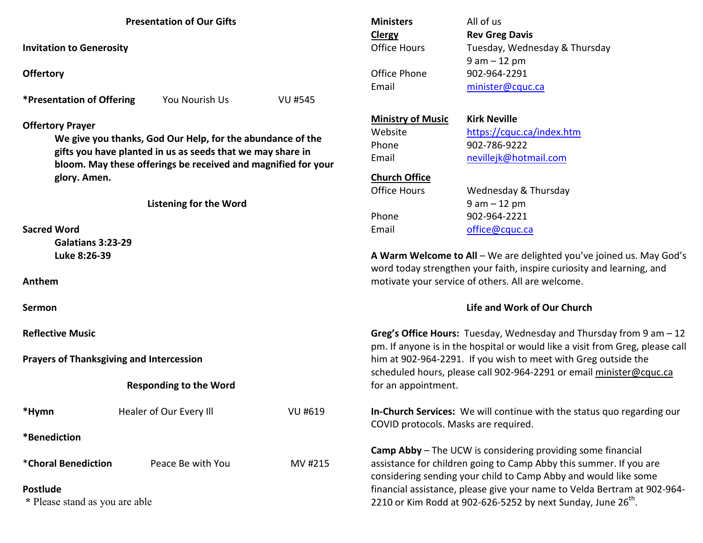| <b>Presentation of Our Gifts</b> |  |
|----------------------------------|--|
|----------------------------------|--|

**Invitation to Generosity** 

**Offertory**

**\*Presentation of Offering** You Nourish Us VU #545

**Offertory Prayer** 

**We give you thanks, God Our Help, for the abundance of the gifts you have planted in us as seeds that we may share in bloom. May these offerings be received and magnified for your glory. Amen.** 

**Listening for the Word** 

**Sacred Word** 

 **Galatians 3:23-29 Luke 8:26-39** 

**Anthem** 

**Sermon** 

**Reflective Music** 

**Prayers of Thanksgiving and Intercession** 

## **Responding to the Word**

| *Hymn               | Healer of Our Every Ill | VU #619 |
|---------------------|-------------------------|---------|
| *Benediction        |                         |         |
| *Choral Benediction | Peace Be with You       | MV #215 |

## **Postlude**

 **\*** Please stand as you are able

| All of us                     |  |  |
|-------------------------------|--|--|
| <b>Rev Greg Davis</b>         |  |  |
| Tuesday, Wednesday & Thursday |  |  |
| $9$ am $-12$ pm               |  |  |
| 902-964-2291                  |  |  |
| minister@cquc.ca              |  |  |
|                               |  |  |

#### **Ministry of MusicKirk Neville**

Website https://cquc.ca/index.htm

# **Church Office**

Office Hours Phone 902-964-2221

Phone 902-786-9222 Email nevillejk@hotmail.com

Wednesday & Thursday 9 am – 12 pm Email office@cquc.ca

**A Warm Welcome to All** – We are delighted you've joined us. May God's word today strengthen your faith, inspire curiosity and learning, and motivate your service of others. All are welcome.

## **Life and Work of Our Church**

**Greg's Office Hours:** Tuesday, Wednesday and Thursday from 9 am – 12 pm. If anyone is in the hospital or would like a visit from Greg, please call him at 902-964-2291. If you wish to meet with Greg outside the scheduled hours, please call 902-964-2291 or email minister@cquc.ca for an appointment.

**In-Church Services:** We will continue with the status quo regarding our COVID protocols. Masks are required.

**Camp Abby** – The UCW is considering providing some financial assistance for children going to Camp Abby this summer. If you are considering sending your child to Camp Abby and would like some financial assistance, please give your name to Velda Bertram at 902-964-2210 or Kim Rodd at 902-626-5252 by next Sunday, June  $26<sup>th</sup>$ .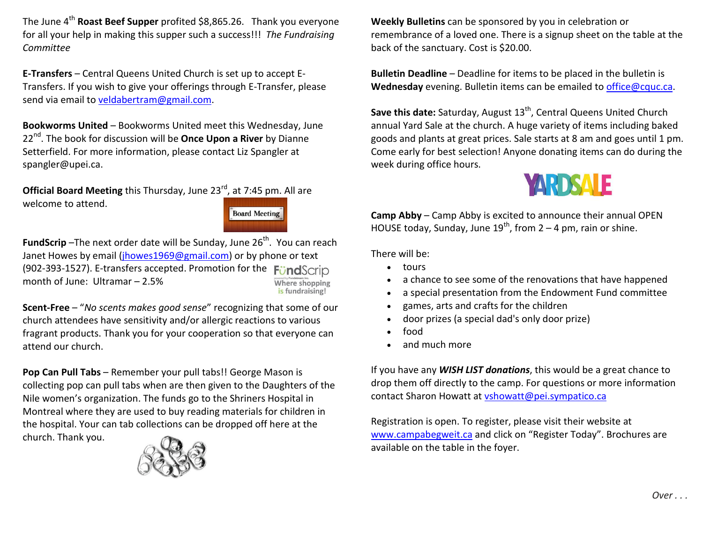The June 4<sup>th</sup> **Roast Beef Supper** profited \$8,865.26. Thank you everyone for all your help in making this supper such a success!!! *The Fundraising Committee* 

**E-Transfers** – Central Queens United Church is set up to accept E-Transfers. If you wish to give your offerings through E-Transfer, please send via email to veldabertram@gmail.com.

**Bookworms United** – Bookworms United meet this Wednesday, June 22nd. The book for discussion will be **Once Upon a River** by Dianne Setterfield. For more information, please contact Liz Spangler at spangler@upei.ca.

**Official Board Meeting** this Thursday, June 23<sup>rd</sup>, at 7:45 pm. All are welcome to attend.

**Board Meeting** 

**FundScrip** -The next order date will be Sunday, June 26<sup>th</sup>. You can reach Janet Howes by email (jhowes1969@gmail.com) or by phone or text (902-393-1527). E-transfers accepted. Promotion for the FundScr month of June: Ultramar – 2.5% Where shopping<br>is fundraising!

**Scent-Free** – "*No scents makes good sense*" recognizing that some of our church attendees have sensitivity and/or allergic reactions to various fragrant products. Thank you for your cooperation so that everyone can attend our church.

**Pop Can Pull Tabs** – Remember your pull tabs!! George Mason is collecting pop can pull tabs when are then given to the Daughters of the Nile women's organization. The funds go to the Shriners Hospital in Montreal where they are used to buy reading materials for children in the hospital. Your can tab collections can be dropped off here at the church. Thank you.



**Weekly Bulletins** can be sponsored by you in celebration or remembrance of a loved one. There is a signup sheet on the table at the back of the sanctuary. Cost is \$20.00.

**Bulletin Deadline** – Deadline for items to be placed in the bulletin is **Wednesday** evening. Bulletin items can be emailed to office@cquc.ca.

Save this date: Saturday, August 13<sup>th</sup>, Central Queens United Church annual Yard Sale at the church. A huge variety of items including baked goods and plants at great prices. Sale starts at 8 am and goes until 1 pm. Come early for best selection! Anyone donating items can do during the week during office hours.



**Camp Abby** – Camp Abby is excited to announce their annual OPEN HOUSE today, Sunday, June  $19^{th}$ , from 2 – 4 pm, rain or shine.

There will be:

- tours
- . a chance to see some of the renovations that have happened
- . a special presentation from the Endowment Fund committee
- . games, arts and crafts for the children
- . door prizes (a special dad's only door prize)
- . food
- $\bullet$ and much more

If you have any *WISH LIST donations*, this would be a great chance to drop them off directly to the camp. For questions or more information contact Sharon Howatt at vshowatt@pei.sympatico.ca

Registration is open. To register, please visit their website at www.campabegweit.ca and click on "Register Today". Brochures are available on the table in the foyer.